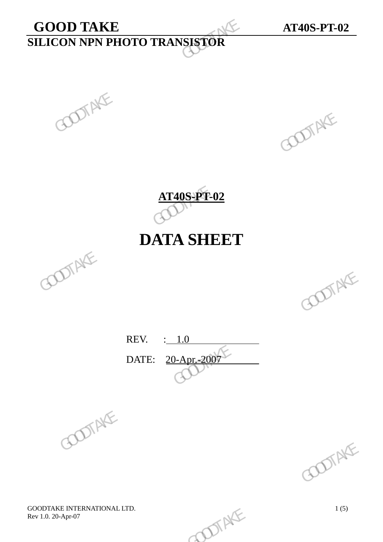# **GOOD TAKE AT40S-PT-02 SILICON NPN PHOTO TRANSISTOR**  GOOD TAKE<br>SILICON NPN PHOTO TRANSISTOR<br>COOL



**AT40S-PT-02**

# **DATA SHEET**





REV. : 1.0 DATE: 20-Apr.-2007 REV. : 1.0<br>DATE: 20-Apr. 2009 SUITAKE



GOODTAKE INTERNATIONAL LTD.<br>
Rev 1.0. 20-Apr-07 1(5) Rev 1.0. 20-Apr-07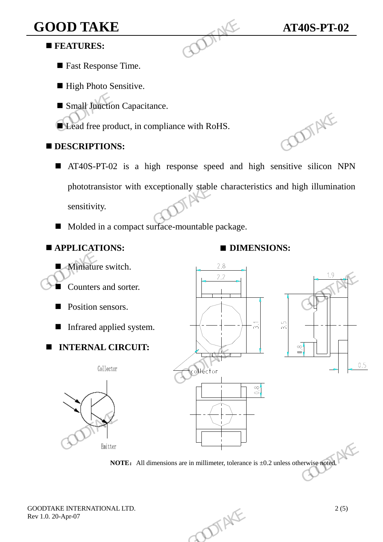# **GOOD TAKE AT40S-PT-02**

### **FEATURES:**

- Fast Response Time.
- High Photo Sensitive.
- **Small Junction Capacitance.**

**Lead free product, in compliance with RoHS.** 

### **DESCRIPTIONS:**

- AT40S-PT-02 is a high response speed and high sensitive silicon NPN phototransistor with exceptionally stable characteristics and high illumination sensitivity. GOOD TAKE<br>
FEATURES:<br>
Fast Response Time.<br>
High Photo Sensitive.<br>
Small Junction Capacitance.<br>
CLead free product, in compliance with RoHS.<br>
DESCRIPTIONS:<br>
AT40S-PT-02 is a high response speed and<br>
phototransistor with exc
	- Molded in a compact surface-mountable package.

## **APPLICATIONS: ■ DIMENSIONS:**

# **Miniature switch.**  Counters and sorter. **Position sensors.** Infrared applied system.  **INTERNAL CIRCUIT:**  The product, in compliance with RoHS.<br> **EDESCRIPTIONS:**<br> **E** AT40S-PT-02 is a high response speed and high sensitive silicon N<br>
phototransistor with exceptionally stable characteristics and high illuminat<br>
sensitivity.<br> FRAME COUNTRIES AND SOLUTION OF THE COUNTRIES OF THE COUNTRIES OF THE COUNTRIES OF THE COUNTRIES OF THE COUNTRIES OF THE COUNTRIES OF THE COUNTRIES OF THE COUNTRIES OF THE COUNTRIES OF THE COUNTRIES OF THE COUNTRIES OF TH GOVertor<br>
Good<br>
Good<br>
Good<br>
Goodtake Goodtake Good<br>
All dimensions are in millimeter, tolerance is ±0.2 unless otherwise noted,

**NOTE:** All dimensions are in millimeter, tolerance is  $\pm 0.2$  unless otherwise noted.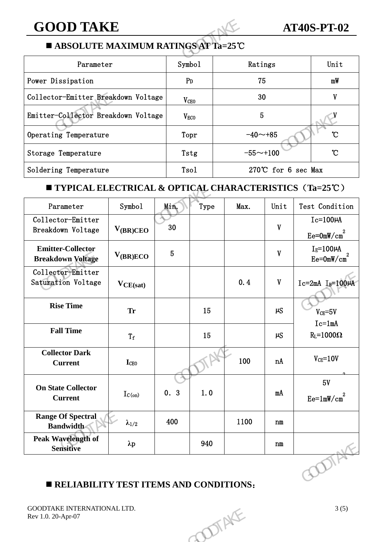### **GOOD TAKE AT40S-PT-02**

### **ABSOLUTE MAXIMUM RATINGS AT Ta=25**℃

| <b>GOOD TAKE</b>                                         |                  |                    | <b>AT40S-PT-02</b> |                |
|----------------------------------------------------------|------------------|--------------------|--------------------|----------------|
| ABSOLUTE MAXIMUM RATINGS AT Ta=25°C                      |                  |                    |                    |                |
| Parameter                                                | Symbo1           | Ratings            |                    | Unit           |
| Power Dissipation                                        | P <sub>D</sub>   | 75                 |                    | mW             |
| Collector-Emitter Breakdown Voltage                      | V <sub>CEO</sub> | 30                 | V                  |                |
| Emitter-Collector Breakdown Voltage                      | $V_{ECO}$        | 5                  |                    |                |
| Operating Temperature                                    | Topr             | $-40$ ~+85         |                    | °C             |
| Storage Temperature                                      | Tstg             | $-55 - +100$       | $\mathcal{C}$      |                |
| Soldering Temperature                                    | Tsol             | 270℃ for 6 sec Max |                    |                |
| ■ TYPICAL ELECTRICAL & OPTICAL CHARACTERISTICS (Ta=25°C) |                  |                    |                    |                |
| Symbol<br>Parameter                                      | Min.<br>Type     | Max.               | Unit               | Test Condition |

### **TYPICAL ELECTRICAL & OPTICAL CHARACTERISTICS**(**Ta=25**℃)

| Emitter-Collector Breakdown Voltage                      |                 |                 | V <sub>ECO</sub> |       | 5            |                                     |
|----------------------------------------------------------|-----------------|-----------------|------------------|-------|--------------|-------------------------------------|
| Operating Temperature                                    |                 |                 | Topr             |       | $-40 - +85$  | $\mathcal{C}$                       |
| Storage Temperature                                      |                 |                 | Tstg             |       | $-55 - +100$ | $\mathcal{C}$                       |
| Soldering Temperature                                    |                 |                 | Tsol             |       |              | 270℃ for 6 sec Max                  |
| ■ TYPICAL ELECTRICAL & OPTICAL CHARACTERISTICS (Ta=25°C) |                 |                 |                  |       |              |                                     |
| Parameter                                                | Symbol          | Min.            | Type             | Max.  | Unit         | Test Condition                      |
| Collector-Emitter<br>Breakdown Voltage                   | $V_{(BR)CEO}$   | 30              |                  |       | $\mathbf{V}$ | $Ic=100\mu A$<br>$Ee = 0mW/cm2$     |
| <b>Emitter-Collector</b><br><b>Breakdown Voltage</b>     | $V_{(BR)ECO}$   | $5\phantom{.0}$ |                  |       | $\mathbf{V}$ | $I_E = 100 \mu A$<br>$Ee = 0mW/cm2$ |
| Collector-Emitter<br>Saturation Voltage                  | $V_{CE(sat)}$   |                 |                  | 0.4   | $\mathbf{V}$ | $Ic=2mA$ $I_B=100\mu A$             |
| <b>Rise Time</b>                                         | <b>Tr</b>       |                 | 15               |       | $\mu S$      | $V_{CE} = 5V$<br>$Ic=1mA$           |
| <b>Fall Time</b>                                         | $T_f$           |                 | 15               |       | $\mu S$      | $R_L = 1000\Omega$                  |
| <b>Collector Dark</b><br><b>Current</b>                  | <b>I</b> CEO    |                 |                  | 100   | nA           | $V_{CE} = 10V$                      |
| <b>On State Collector</b><br><b>Current</b>              | $I_{C(on)}$     | 0.3             | 1.0              |       | mA           | 5V<br>$Ee=1mW/cm2$                  |
| <b>Range Of Spectral</b><br><b>Bandwidth</b>             | $\lambda_{1/2}$ | 400             |                  | 1100  | n m          |                                     |
| Peak Wavelength of<br><b>Sensitive</b>                   | $\lambda p$     |                 | 940              |       | n m          |                                     |
|                                                          |                 |                 |                  |       |              | ODTA                                |
| RELIABILITY TEST ITEMS AND CONDITIONS:                   |                 |                 |                  |       |              |                                     |
| GOODTAKE INTERNATIONAL LTD.<br>Rev 1.0. 20-Apr-07        |                 |                 |                  | DIAKE |              | 3(5)                                |
|                                                          |                 |                 |                  |       |              |                                     |

### **RELIABILITY TEST ITEMS AND CONDITIONS**: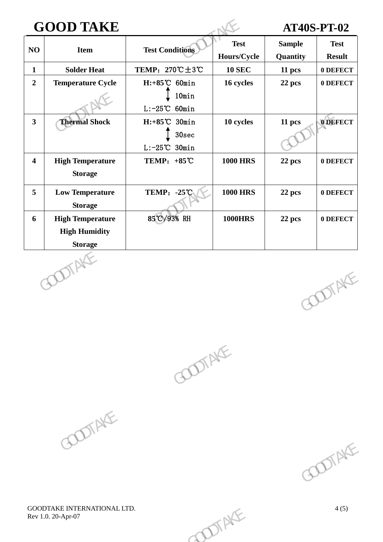# **GOOD TAKE AT40S-PT-02**

|                         | <b>GOOD TAKE</b>         |                                                   |                            |                           | <b>AT40S-PT-02</b>           |
|-------------------------|--------------------------|---------------------------------------------------|----------------------------|---------------------------|------------------------------|
| NO                      | <b>Item</b>              | <b>Test Conditions</b>                            | <b>Test</b><br>Hours/Cycle | <b>Sample</b><br>Quantity | <b>Test</b><br><b>Result</b> |
| $\mathbf{1}$            | <b>Solder Heat</b>       | TEMP: $270^{\circ}\text{C} \pm 3^{\circ}\text{C}$ | <b>10 SEC</b>              | 11 pcs                    | 0 DEFECT                     |
| $\overline{2}$          | <b>Temperature Cycle</b> | $H: +85^{\circ}C$ 60min                           | 16 cycles                  | 22 pcs                    | 0 DEFECT                     |
|                         |                          | 10min<br>$L: -25^{\circ}\text{C}$ 60min           |                            |                           |                              |
| $\overline{\mathbf{3}}$ | <b>Thermal Shock</b>     | $H: +85^{\circ}C$ 30min                           | 10 cycles                  | 11 pcs                    | 0 DEFECT                     |
|                         |                          | 30 <sub>sec</sub>                                 |                            |                           |                              |
|                         |                          | $L: -25^{\circ}\text{C}$ 30min                    |                            |                           |                              |
| $\overline{\mathbf{4}}$ | <b>High Temperature</b>  | TEMP: $+85^{\circ}$ C                             | <b>1000 HRS</b>            | 22 pcs                    | 0 DEFECT                     |
|                         | <b>Storage</b>           |                                                   |                            |                           |                              |
| 5                       | <b>Low Temperature</b>   | <b>TEMP: -25°C</b>                                | <b>1000 HRS</b>            | 22 pcs                    | 0 DEFECT                     |
|                         | <b>Storage</b>           |                                                   |                            |                           |                              |
| 6                       | <b>High Temperature</b>  | 85°C/93% RH                                       | <b>1000HRS</b>             | 22 pcs                    | 0 DEFECT                     |
|                         | <b>High Humidity</b>     |                                                   |                            |                           |                              |
|                         | <b>Storage</b>           |                                                   |                            |                           |                              |
|                         | <b>COTAKI</b>            |                                                   |                            |                           | <b>DOTAKE</b>                |